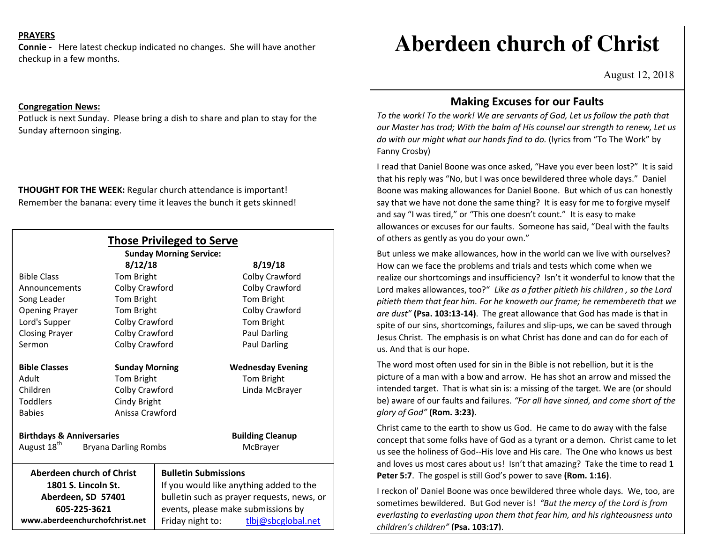### **PRAYERS**

**Connie -** Here latest checkup indicated no changes. She will have another checkup in a few months.

#### **Congregation News:**

Potluck is next Sunday. Please bring a dish to share and plan to stay for the Sunday afternoon singing.

**THOUGHT FOR THE WEEK:** Regular church attendance is important! Remember the banana: every time it leaves the bunch it gets skinned!

| <b>Those Privileged to Serve</b><br><b>Sunday Morning Service:</b> |                       |                                            |  |
|--------------------------------------------------------------------|-----------------------|--------------------------------------------|--|
| 8/12/18<br>8/19/18                                                 |                       |                                            |  |
| <b>Bible Class</b>                                                 | <b>Tom Bright</b>     | Colby Crawford                             |  |
| Announcements                                                      | Colby Crawford        | Colby Crawford                             |  |
| Song Leader                                                        | Tom Bright            | Tom Bright                                 |  |
| <b>Opening Prayer</b>                                              | Tom Bright            | Colby Crawford                             |  |
| Lord's Supper                                                      | Colby Crawford        | Tom Bright                                 |  |
| <b>Closing Prayer</b>                                              | Colby Crawford        | <b>Paul Darling</b>                        |  |
| Sermon                                                             | Colby Crawford        | Paul Darling                               |  |
| <b>Bible Classes</b>                                               | <b>Sunday Morning</b> | <b>Wednesday Evening</b>                   |  |
| Adult                                                              | Tom Bright            | Tom Bright                                 |  |
| Children                                                           | Colby Crawford        | Linda McBrayer                             |  |
| <b>Toddlers</b>                                                    | Cindy Bright          |                                            |  |
| <b>Babies</b>                                                      | Anissa Crawford       |                                            |  |
| <b>Birthdays &amp; Anniversaries</b><br><b>Building Cleanup</b>    |                       |                                            |  |
| August 18 <sup>th</sup><br><b>Bryana Darling Rombs</b>             |                       | McBrayer                                   |  |
| <b>Aberdeen church of Christ</b>                                   |                       | <b>Bulletin Submissions</b>                |  |
| 1801 S. Lincoln St.                                                |                       | If you would like anything added to the    |  |
| Aberdeen, SD 57401                                                 |                       | bulletin such as prayer requests, news, or |  |
| 605-225-3621                                                       |                       | events, please make submissions by         |  |
| www.aberdeenchurchofchrist.net                                     |                       | Friday night to:<br>tlbj@sbcglobal.net     |  |

# **Aberdeen church of Christ**

August 12, 2018

# **Making Excuses for our Faults**

 *To the work! To the work! We are servants of God, Let us follow the path that our Master has trod; With the balm of His counsel our strength to renew, Let us do with our might what our hands find to do.* (lyrics from "To The Work" by Fanny Crosby)

I read that Daniel Boone was once asked, "Have you ever been lost?" It is said that his reply was "No, but I was once bewildered three whole days." Daniel Boone was making allowances for Daniel Boone. But which of us can honestly say that we have not done the same thing? It is easy for me to forgive myself and say "I was tired," or "This one doesn't count." It is easy to make allowances or excuses for our faults. Someone has said, "Deal with the faults of others as gently as you do your own."

But unless we make allowances, how in the world can we live with ourselves? How can we face the problems and trials and tests which come when we realize our shortcomings and insufficiency? Isn't it wonderful to know that the Lord makes allowances, too?" *Like as a father pitieth his children , so the Lord pitieth them that fear him. For he knoweth our frame; he remembereth that we are dust"* **(Psa. 103:13-14)**. The great allowance that God has made is that in spite of our sins, shortcomings, failures and slip-ups, we can be saved through Jesus Christ. The emphasis is on what Christ has done and can do for each of us. And that is our hope.

The word most often used for sin in the Bible is not rebellion, but it is the picture of a man with a bow and arrow. He has shot an arrow and missed the intended target. That is what sin is: a missing of the target. We are (or should be) aware of our faults and failures. *"For all have sinned, and come short of the glory of God"* **(Rom. 3:23)**.

Christ came to the earth to show us God. He came to do away with the false concept that some folks have of God as a tyrant or a demon. Christ came to let us see the holiness of God--His love and His care. The One who knows us best and loves us most cares about us! Isn't that amazing? Take the time to read **1 Peter 5:7**. The gospel is still God's power to save **(Rom. 1:16)**.

I reckon ol' Daniel Boone was once bewildered three whole days. We, too, are sometimes bewildered. But God never is! *"But the mercy of the Lord is from everlasting to everlasting upon them that fear him, and his righteousness unto children's children"* **(Psa. 103:17)**.